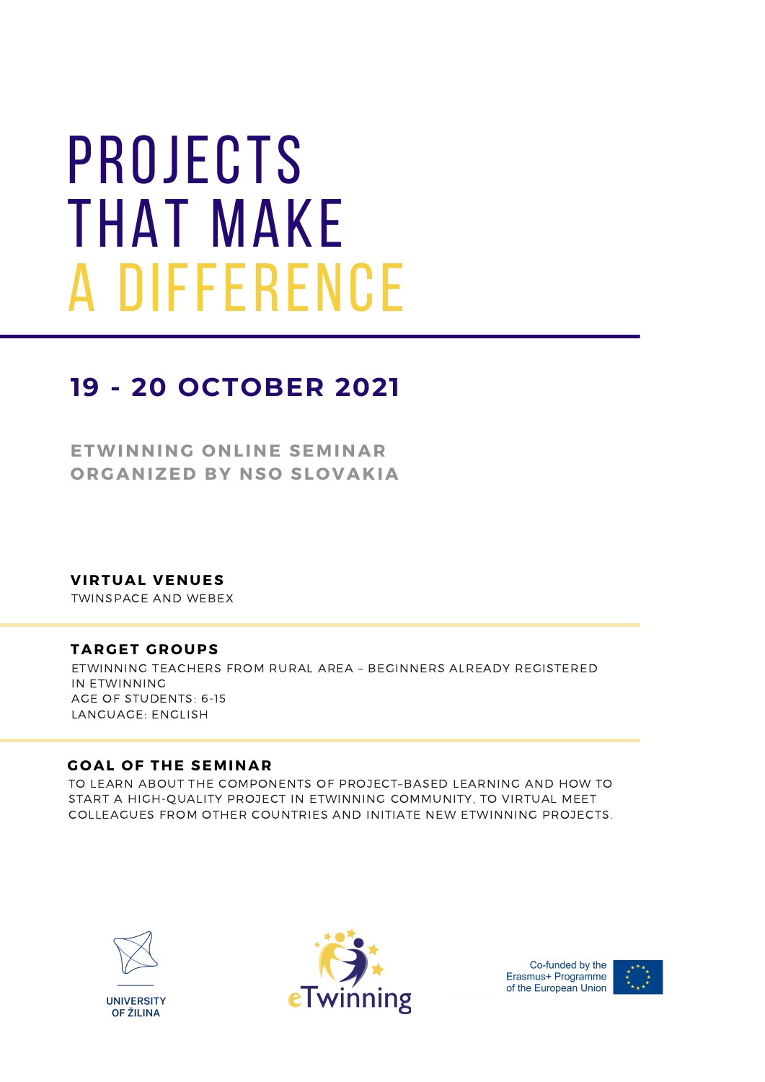# **PROJECTS** that make a difference

## **19 - 20 OCTOBER 2021**

**ETWINNING O NLINE SEMINAR O RGANIZED BY NS O SL O VAKIA**

**VIRTUAL VENUES**

TWINSPACE AND WEBEX

## **TARGET GR O UPS**

ETWINNING TEACHERS FROM RURAL AREA – BEGINNERS ALREADY REGISTERED IN ETWINNING AGE OF STUDENTS: 6-15 LANGUAGE: ENGLISH

## **G O AL O F THE SEMINAR**

TO LEARN ABOUT THE COMPONENTS OF PROJECT–BASED LEARNING AND HOW TO START A HIGH-QUALITY PROJECT IN ETWINNING COMMUNITY, TO VIRTUAL MEET COLLEAGUES FROM OTHER COUNTRIES AND INITIATE NEW ETWINNING PROJECTS.





Co-funded by the Erasmus+ Programme of the European Union